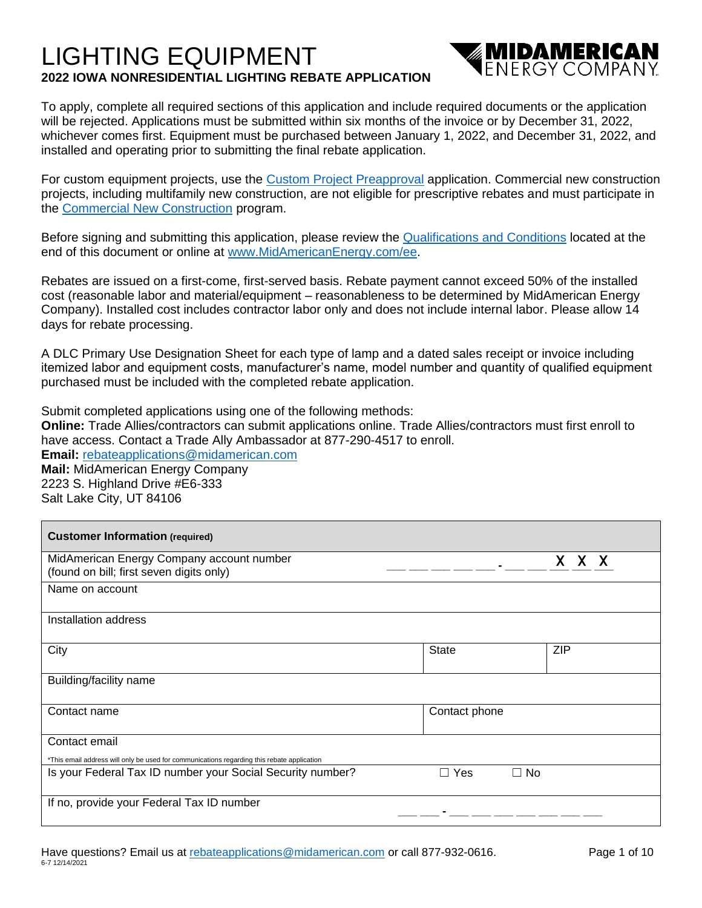# LIGHTING EQUIPMENT **2022 IOWA NONRESIDENTIAL LIGHTING REBATE APPLICATION**



To apply, complete all required sections of this application and include required documents or the application will be rejected. Applications must be submitted within six months of the invoice or by December 31, 2022, whichever comes first. Equipment must be purchased between January 1, 2022, and December 31, 2022, and installed and operating prior to submitting the final rebate application.

For custom equipment projects, use the [Custom Project Preapproval](https://www.midamericanenergy.com/media/pdf/customprojectapprovalapplication.pdf) application. Commercial new construction projects, including multifamily new construction, are not eligible for prescriptive rebates and must participate in the [Commercial New Construction](https://www.midamericanenergy.com/cnc) program.

Before signing and submitting this application, please review the [Qualifications and Conditions](https://www.midamericanenergy.com/ia_qualifications-and-conditions) located at the end of this document or online at [www.MidAmericanEnergy.com/ee.](http://www.midamericanenergy.com/ee)

Rebates are issued on a first-come, first-served basis. Rebate payment cannot exceed 50% of the installed cost (reasonable labor and material/equipment – reasonableness to be determined by MidAmerican Energy Company). Installed cost includes contractor labor only and does not include internal labor. Please allow 14 days for rebate processing.

A DLC Primary Use Designation Sheet for each type of lamp and a dated sales receipt or invoice including itemized labor and equipment costs, manufacturer's name, model number and quantity of qualified equipment purchased must be included with the completed rebate application.

Submit completed applications using one of the following methods: **Online:** Trade Allies/contractors can submit applications online. Trade Allies/contractors must first enroll to have access. Contact a Trade Ally Ambassador at 877-290-4517 to enroll. **Email:** [rebateapplications@midamerican.com](mailto:rebateapplications@midamerican.com) **Mail:** MidAmerican Energy Company 2223 S. Highland Drive #E6-333 Salt Lake City, UT 84106

| <b>Customer Information (required)</b>                                                     |                                           |            |
|--------------------------------------------------------------------------------------------|-------------------------------------------|------------|
| MidAmerican Energy Company account number<br>(found on bill; first seven digits only)      |                                           | X X        |
| Name on account                                                                            |                                           |            |
| Installation address                                                                       |                                           |            |
| City                                                                                       | State                                     | <b>ZIP</b> |
| Building/facility name                                                                     |                                           |            |
| Contact name                                                                               | Contact phone                             |            |
| Contact email                                                                              |                                           |            |
| *This email address will only be used for communications regarding this rebate application |                                           |            |
| Is your Federal Tax ID number your Social Security number?                                 | $\Box$ No<br><b>Yes</b><br>$\blacksquare$ |            |
| If no, provide your Federal Tax ID number                                                  |                                           |            |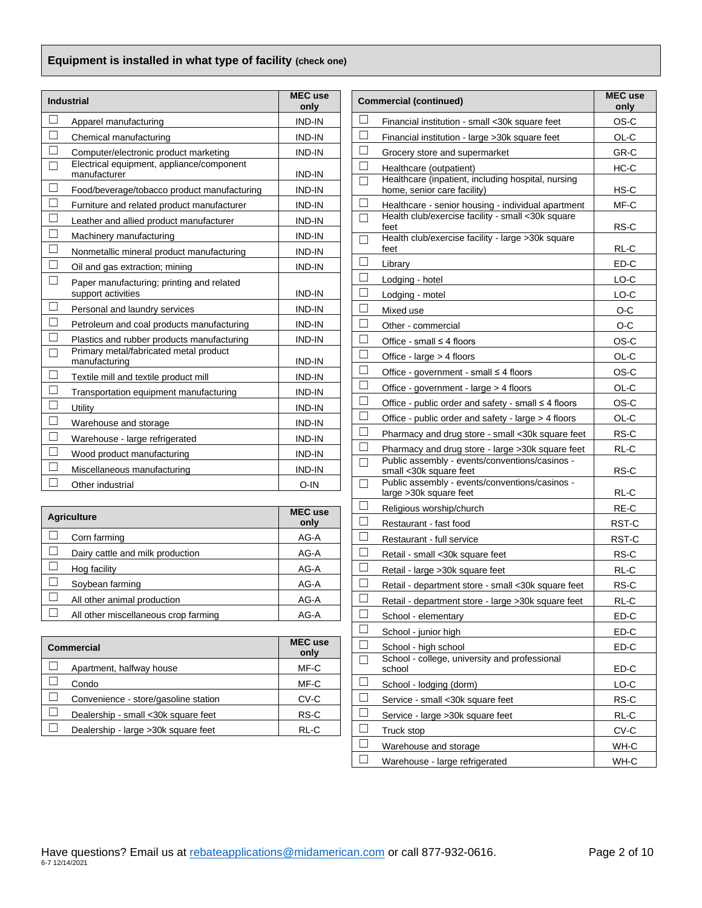## **Equipment is installed in what type of facility (check one)**

|        | <b>Industrial</b>                                               | <b>MEC</b> use<br>only | <b>Commercial (continued)</b> |                                                                               |              |  |  |
|--------|-----------------------------------------------------------------|------------------------|-------------------------------|-------------------------------------------------------------------------------|--------------|--|--|
|        | Apparel manufacturing                                           | <b>IND-IN</b>          |                               | Financial institution - small <30k square feet                                | OS-C         |  |  |
| $\Box$ | Chemical manufacturing                                          | <b>IND-IN</b>          | $\Box$                        | Financial institution - large > 30k square feet                               | OL-C         |  |  |
| $\Box$ | Computer/electronic product marketing                           | <b>IND-IN</b>          | □                             | Grocery store and supermarket                                                 | GR-C         |  |  |
| $\Box$ | Electrical equipment, appliance/component<br>manufacturer       | IND-IN                 | $\Box$<br>Г                   | Healthcare (outpatient)<br>Healthcare (inpatient, including hospital, nursing | $HC-C$       |  |  |
| $\Box$ | Food/beverage/tobacco product manufacturing                     | <b>IND-IN</b>          |                               | home, senior care facility)                                                   | HS-C         |  |  |
| $\Box$ | Furniture and related product manufacturer                      | <b>IND-IN</b>          | $\overline{\phantom{a}}$      | Healthcare - senior housing - individual apartment                            | MF-C         |  |  |
| ⊑      | Leather and allied product manufacturer                         | <b>IND-IN</b>          | Г                             | Health club/exercise facility - small <30k square<br>feet                     | RS-C         |  |  |
|        | Machinery manufacturing                                         | <b>IND-IN</b>          | Г                             | Health club/exercise facility - large >30k square                             |              |  |  |
| $\Box$ | Nonmetallic mineral product manufacturing                       | <b>IND-IN</b>          |                               | feet                                                                          | RL-C         |  |  |
| $\Box$ | Oil and gas extraction; mining                                  | <b>IND-IN</b>          | ∟                             | Library                                                                       | ED-C         |  |  |
| $\Box$ | Paper manufacturing; printing and related<br>support activities | IND-IN                 | $\Box$<br>$\Box$              | Lodging - hotel<br>Lodging - motel                                            | LO-C<br>LO-C |  |  |
| $\Box$ | Personal and laundry services                                   | IND-IN                 | L                             | Mixed use                                                                     | O-C          |  |  |
| $\Box$ | Petroleum and coal products manufacturing                       | <b>IND-IN</b>          | $\Box$                        | Other - commercial                                                            | O-C          |  |  |
| $\Box$ | Plastics and rubber products manufacturing                      | <b>IND-IN</b>          | Г                             | Office - small $\leq$ 4 floors                                                | OS-C         |  |  |
| $\Box$ | Primary metal/fabricated metal product<br>manufacturing         | <b>IND-IN</b>          | $\Box$                        | Office - $large > 4$ floors                                                   | OL-C         |  |  |
| $\Box$ | Textile mill and textile product mill                           | IND-IN                 | Г                             | Office - government - small $\leq 4$ floors                                   | OS-C         |  |  |
| $\Box$ | Transportation equipment manufacturing                          | IND-IN                 | $\Box$                        | Office - government - large > 4 floors                                        | OL-C         |  |  |
| $\Box$ | Utility                                                         | <b>IND-IN</b>          | $\Box$                        | Office - public order and safety - small $\leq 4$ floors                      | OS-C         |  |  |
| $\Box$ | Warehouse and storage                                           | <b>IND-IN</b>          | □                             | Office - public order and safety - large > 4 floors                           | OL-C         |  |  |
| $\Box$ | Warehouse - large refrigerated                                  | <b>IND-IN</b>          | $\Box$                        | Pharmacy and drug store - small <30k square feet                              | RS-C         |  |  |
|        | Wood product manufacturing                                      | <b>IND-IN</b>          | $\mathbf{L}$                  | Pharmacy and drug store - large >30k square feet                              | RL-C         |  |  |
|        | Miscellaneous manufacturing                                     | <b>IND-IN</b>          | Г                             | Public assembly - events/conventions/casinos -<br>small <30k square feet      | RS-C         |  |  |
|        | Other inductrial                                                | $\cap$ -IN             |                               | Public assembly - events/conventions/casinos -                                |              |  |  |

|                                      | MEC use | Religious worship/church                           | RE-C   |
|--------------------------------------|---------|----------------------------------------------------|--------|
| <b>Agriculture</b>                   | only    | Restaurant - fast food                             | RST-C  |
| Corn farming                         | AG-A    | Restaurant - full service                          | RST-C  |
| Dairy cattle and milk production     | AG-A    | Retail - small <30k square feet                    | RS-C   |
| Hog facility                         | AG-A    | Retail - large > 30k square feet                   | RL-C   |
| Soybean farming                      | AG-A    | Retail - department store - small <30k square feet | RS-C   |
| All other animal production          | AG-A    | Retail - department store - large >30k square feet | RL-C   |
| All other miscellaneous crop farming | AG-A    | School - elementary                                | $ED-C$ |

| Commercial                           | <b>MEC</b> use<br>only | School - high school                                    | ED-C |
|--------------------------------------|------------------------|---------------------------------------------------------|------|
| Apartment, halfway house             | MF-C                   | School - college, university and professional<br>school | ED-C |
| Condo                                | MF-C                   | School - lodging (dorm)                                 | LO-C |
| Convenience - store/gasoline station | CV-C                   | Service - small <30k square feet                        | RS-C |
| Dealership - small <30k square feet  | RS-C                   | Service - large > 30k square feet                       | RL-C |
| Dealership - large > 30k square feet | RL-C                   | Truck stop                                              | CV-C |

| <b>MEC</b> use<br>Industrial<br>only |                                                                                      |                |        | <b>Commercial (continued)</b>                                                     | <b>MEC</b> use<br>only |
|--------------------------------------|--------------------------------------------------------------------------------------|----------------|--------|-----------------------------------------------------------------------------------|------------------------|
|                                      | Apparel manufacturing                                                                | <b>IND-IN</b>  |        | Financial institution - small <30k square feet                                    | OS-C                   |
| $\Box$                               | Chemical manufacturing                                                               | <b>IND-IN</b>  |        | Financial institution - large > 30k square feet                                   | OL-C                   |
| $\Box$                               | Computer/electronic product marketing                                                | IND-IN         |        | Grocery store and supermarket                                                     | GR-C                   |
| $\Box$                               | Electrical equipment, appliance/component<br>manufacturer                            | IND-IN         | L      | Healthcare (outpatient)                                                           | $HC-C$                 |
| $\Box$                               | Food/beverage/tobacco product manufacturing                                          | IND-IN         |        | Healthcare (inpatient, including hospital, nursing<br>home, senior care facility) | HS-C                   |
| $\Box$                               | Furniture and related product manufacturer                                           | <b>IND-IN</b>  |        | Healthcare - senior housing - individual apartment                                | MF-C                   |
| $\overline{\square}$                 | Leather and allied product manufacturer                                              | <b>IND-IN</b>  |        | Health club/exercise facility - small <30k square                                 |                        |
| $\Box$                               | Machinery manufacturing                                                              | <b>IND-IN</b>  |        | feet<br>Health club/exercise facility - large >30k square                         | RS-C                   |
| $\Box$                               | Nonmetallic mineral product manufacturing                                            | IND-IN         |        | feet                                                                              | RL-C                   |
| $\Box$                               | Oil and gas extraction; mining                                                       | IND-IN         | $\Box$ | Library                                                                           | ED-C                   |
| $\Box$                               | Paper manufacturing; printing and related                                            |                |        | Lodging - hotel                                                                   | LO-C                   |
|                                      | support activities                                                                   | IND-IN         | $\Box$ | Lodging - motel                                                                   | LO-C                   |
| $\Box$                               | Personal and laundry services                                                        | IND-IN         |        | Mixed use                                                                         | $O-C$                  |
| $\overline{\Box}$                    | Petroleum and coal products manufacturing                                            | IND-IN         |        | Other - commercial                                                                | $O-C$                  |
| $\Box$<br>$\overline{\Box}$          | Plastics and rubber products manufacturing<br>Primary metal/fabricated metal product | IND-IN         |        | Office - small $\leq 4$ floors                                                    | OS-C                   |
|                                      | manufacturing                                                                        | IND-IN         |        | Office - large > 4 floors                                                         | $OL-C$                 |
| $\Box$                               | Textile mill and textile product mill                                                | IND-IN         | ⊔      | Office - government - small ≤ 4 floors                                            | OS-C                   |
| $\Box$                               | Transportation equipment manufacturing                                               | <b>IND-IN</b>  |        | Office - government - large > 4 floors                                            | OL-C                   |
| $\Box$                               | Utility                                                                              | IND-IN         |        | Office - public order and safety - small ≤ 4 floors                               | OS-C                   |
| $\Box$                               | Warehouse and storage                                                                | <b>IND-IN</b>  |        | Office - public order and safety - large > 4 floors                               | OL-C                   |
| $\Box$                               | Warehouse - large refrigerated                                                       | IND-IN         |        | Pharmacy and drug store - small <30k square feet                                  | RS-C                   |
| $\Box$                               | Wood product manufacturing                                                           | <b>IND-IN</b>  |        | Pharmacy and drug store - large >30k square feet                                  | RL-C                   |
| $\Box$                               | Miscellaneous manufacturing                                                          | IND-IN         |        | Public assembly - events/conventions/casinos -<br>small <30k square feet          | RS-C                   |
|                                      | Other industrial                                                                     | O-IN           |        | Public assembly - events/conventions/casinos -                                    |                        |
|                                      |                                                                                      |                |        | large > 30k square feet                                                           | RL-C                   |
|                                      | <b>Agriculture</b>                                                                   | <b>MEC</b> use | $\Box$ | Religious worship/church                                                          | RE-C                   |
| $\Box$                               | Corn farming                                                                         | only<br>AG-A   | ப      | Restaurant - fast food<br>Restaurant - full service                               | RST-C<br>RST-C         |
| $\Box$                               | Dairy cattle and milk production                                                     | AG-A           |        | Retail - small <30k square feet                                                   | RS-C                   |
| $\Box$                               | Hog facility                                                                         | AG-A           |        | Retail - large > 30k square feet                                                  | RL-C                   |
| $\Box$                               | Soybean farming                                                                      | AG-A           |        | Retail - department store - small <30k square feet                                | RS-C                   |
| $\Box$                               | All other animal production                                                          | AG-A           |        | Retail - department store - large >30k square feet                                | $RL-C$                 |
| $\Box$                               | All other miscellaneous crop farming                                                 | AG-A           |        | School - elementary                                                               | ED-C                   |
|                                      |                                                                                      |                |        | School - junior high                                                              | ED-C                   |
|                                      | Commercial                                                                           | <b>MEC</b> use |        | School - high school                                                              | ED-C                   |
| $\Box$                               | Apartment, halfway house                                                             | only<br>MF-C   |        | School - college, university and professional<br>school                           | ED-C                   |
| $\Box$                               | Condo                                                                                | $MF-C$         |        | School - lodging (dorm)                                                           | LO-C                   |
| $\Box$                               | Convenience - store/gasoline station                                                 | $CV-C$         |        | Service - small <30k square feet                                                  | RS-C                   |
| $\Box$                               | Dealership - small <30k square feet                                                  | $RS-C$         | $\Box$ | Service - large > 30k square feet                                                 | RL-C                   |
| $\Box$                               | Dealership - large > 30k square feet                                                 | RL-C           |        | Truck stop                                                                        | CV-C                   |
|                                      |                                                                                      |                |        | Warehouse and storage                                                             | WH-C                   |
|                                      |                                                                                      |                |        | Warehouse - large refrigerated                                                    | WH-C                   |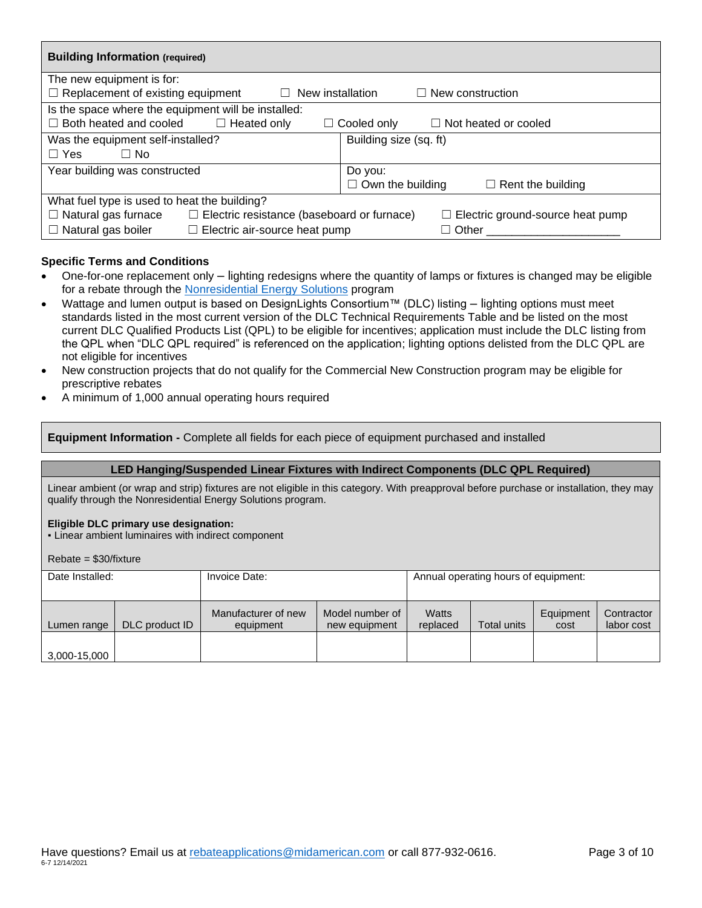| <b>Building Information (required)</b>                                        |                                                     |  |  |  |  |  |  |
|-------------------------------------------------------------------------------|-----------------------------------------------------|--|--|--|--|--|--|
| The new equipment is for:                                                     |                                                     |  |  |  |  |  |  |
| $\Box$ Replacement of existing equipment<br>New installation<br>$\perp$       | $\Box$ New construction                             |  |  |  |  |  |  |
| Is the space where the equipment will be installed:                           |                                                     |  |  |  |  |  |  |
| Both heated and cooled<br>$\Box$ Heated only                                  | $\Box$ Not heated or cooled<br>Cooled only          |  |  |  |  |  |  |
| Was the equipment self-installed?<br>Building size (sq. ft)                   |                                                     |  |  |  |  |  |  |
| $\Box$ Yes<br>□ No                                                            |                                                     |  |  |  |  |  |  |
| Year building was constructed                                                 | Do you:                                             |  |  |  |  |  |  |
|                                                                               | $\Box$ Rent the building<br>$\Box$ Own the building |  |  |  |  |  |  |
| What fuel type is used to heat the building?                                  |                                                     |  |  |  |  |  |  |
| Natural gas furnace<br>$\Box$ Electric resistance (baseboard or furnace)<br>ப | $\Box$ Electric ground-source heat pump             |  |  |  |  |  |  |
| Natural gas boiler<br>$\Box$ Electric air-source heat pump<br>⊔               | $\Box$ Other                                        |  |  |  |  |  |  |

### **Specific Terms and Conditions**

- One-for-one replacement only lighting redesigns where the quantity of lamps or fixtures is changed may be eligible for a rebate through the [Nonresidential Energy Solutions](https://www.midamericanenergy.com/nonresidentialenergysolutions) program
- Wattage and lumen output is based on DesignLights Consortium™ (DLC) listing lighting options must meet standards listed in the most current version of the DLC Technical Requirements Table and be listed on the most current DLC Qualified Products List (QPL) to be eligible for incentives; application must include the DLC listing from the QPL when "DLC QPL required" is referenced on the application; lighting options delisted from the DLC QPL are not eligible for incentives
- New construction projects that do not qualify for the Commercial New Construction program may be eligible for prescriptive rebates
- A minimum of 1,000 annual operating hours required

**Equipment Information -** Complete all fields for each piece of equipment purchased and installed

### **LED Hanging/Suspended Linear Fixtures with Indirect Components (DLC QPL Required)**

Linear ambient (or wrap and strip) fixtures are not eligible in this category. With preapproval before purchase or installation, they may qualify through the Nonresidential Energy Solutions program.

#### **Eligible DLC primary use designation:**

▪ Linear ambient luminaires with indirect component

Rebate = \$30/fixture

| Date Installed: |                | Invoice Date:                                                        |  | Annual operating hours of equipment: |                    |                   |                          |
|-----------------|----------------|----------------------------------------------------------------------|--|--------------------------------------|--------------------|-------------------|--------------------------|
| Lumen range     | DLC product ID | Model number of<br>Manufacturer of new<br>equipment<br>new equipment |  | Watts<br>replaced                    | <b>Total units</b> | Equipment<br>cost | Contractor<br>labor cost |
| 3,000-15,000    |                |                                                                      |  |                                      |                    |                   |                          |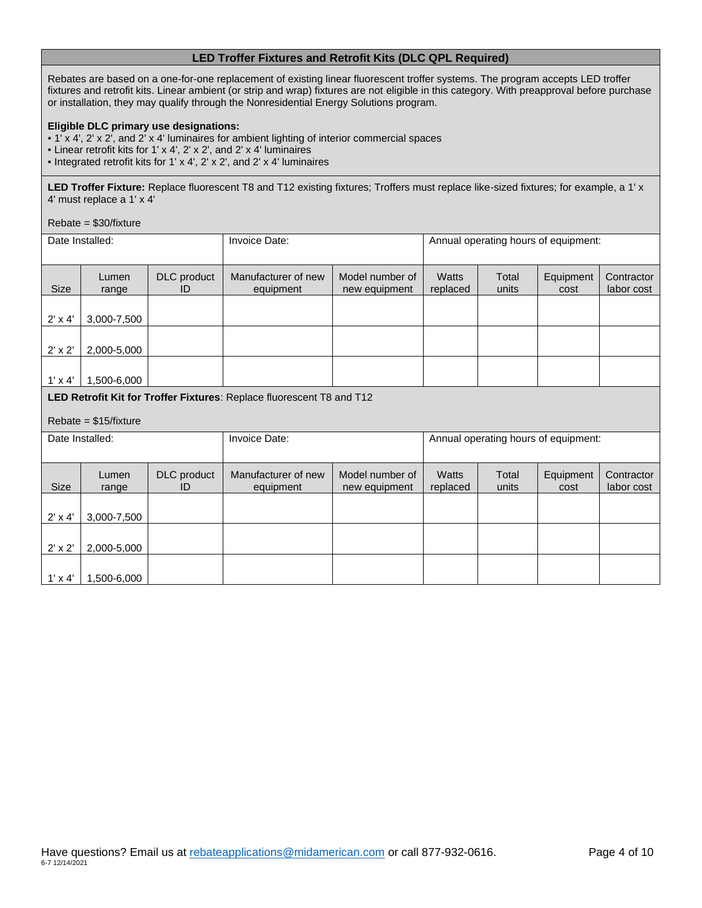## **LED Troffer Fixtures and Retrofit Kits (DLC QPL Required)**

Rebates are based on a one-for-one replacement of existing linear fluorescent troffer systems. The program accepts LED troffer fixtures and retrofit kits. Linear ambient (or strip and wrap) fixtures are not eligible in this category. With preapproval before purchase or installation, they may qualify through the Nonresidential Energy Solutions program.

#### **Eligible DLC primary use designations:**

▪ 1' x 4', 2' x 2', and 2' x 4' luminaires for ambient lighting of interior commercial spaces

- Linear retrofit kits for 1' x 4', 2' x 2', and 2' x 4' luminaires
- Integrated retrofit kits for 1' x 4', 2' x 2', and 2' x 4' luminaires

LED Troffer Fixture: Replace fluorescent T8 and T12 existing fixtures; Troffers must replace like-sized fixtures; for example, a 1' x 4' must replace a 1' x 4'

#### Rebate = \$30/fixture

 $1' \times 4'$  1.500-6,000

| Date Installed: |                                                                       |                   | Invoice Date:                    | Annual operating hours of equipment: |                          |                |                                      |                          |
|-----------------|-----------------------------------------------------------------------|-------------------|----------------------------------|--------------------------------------|--------------------------|----------------|--------------------------------------|--------------------------|
| <b>Size</b>     | Lumen<br>range                                                        | DLC product<br>ID | Manufacturer of new<br>equipment | Model number of<br>new equipment     | <b>Watts</b><br>replaced | Total<br>units | Equipment<br>cost                    | Contractor<br>labor cost |
| $2' \times 4'$  | 3,000-7,500                                                           |                   |                                  |                                      |                          |                |                                      |                          |
| $2' \times 2'$  | 2,000-5,000                                                           |                   |                                  |                                      |                          |                |                                      |                          |
| $1' \times 4'$  | 1,500-6,000                                                           |                   |                                  |                                      |                          |                |                                      |                          |
|                 | LED Retrofit Kit for Troffer Fixtures: Replace fluorescent T8 and T12 |                   |                                  |                                      |                          |                |                                      |                          |
|                 | $Rebate = $15/fixture$                                                |                   |                                  |                                      |                          |                |                                      |                          |
|                 | Date Installed:                                                       |                   | Invoice Date:                    |                                      |                          |                | Annual operating hours of equipment: |                          |
| <b>Size</b>     | Lumen<br>range                                                        | DLC product<br>ID | Manufacturer of new<br>equipment | Model number of<br>new equipment     | <b>Watts</b><br>replaced | Total<br>units | Equipment<br>cost                    | Contractor<br>labor cost |
| $2' \times 4'$  | 3,000-7,500                                                           |                   |                                  |                                      |                          |                |                                      |                          |
| $2' \times 2'$  | 2,000-5,000                                                           |                   |                                  |                                      |                          |                |                                      |                          |
|                 |                                                                       |                   |                                  |                                      |                          |                |                                      |                          |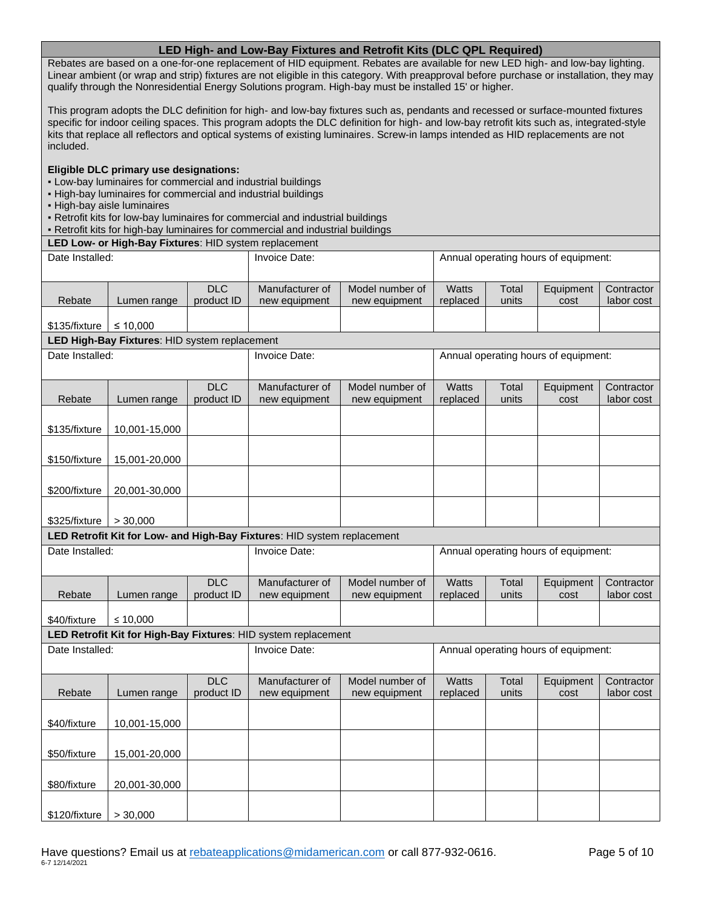## **LED High- and Low-Bay Fixtures and Retrofit Kits (DLC QPL Required)**

Rebates are based on a one-for-one replacement of HID equipment. Rebates are available for new LED high- and low-bay lighting. Linear ambient (or wrap and strip) fixtures are not eligible in this category. With preapproval before purchase or installation, they may qualify through the Nonresidential Energy Solutions program. High-bay must be installed 15' or higher.

This program adopts the DLC definition for high- and low-bay fixtures such as, pendants and recessed or surface-mounted fixtures specific for indoor ceiling spaces. This program adopts the DLC definition for high- and low-bay retrofit kits such as, integrated-style kits that replace all reflectors and optical systems of existing luminaires. Screw-in lamps intended as HID replacements are not included.

#### **Eligible DLC primary use designations:**

- Low-bay luminaires for commercial and industrial buildings
- High-bay luminaires for commercial and industrial buildings
- High-bay aisle luminaires
- Retrofit kits for low-bay luminaires for commercial and industrial buildings
- Retrofit kits for high-bay luminaires for commercial and industrial buildings

**LED Low- or High-Bay Fixtures**: HID system replacement

| Date Installed:                                                         |                                               | Invoice Date:            |                                                                | Annual operating hours of equipment: |                          |                |                                      |                          |
|-------------------------------------------------------------------------|-----------------------------------------------|--------------------------|----------------------------------------------------------------|--------------------------------------|--------------------------|----------------|--------------------------------------|--------------------------|
|                                                                         |                                               | <b>DLC</b>               | Manufacturer of                                                | Model number of                      | <b>Watts</b>             | Total          | Equipment                            | Contractor               |
| Rebate                                                                  | Lumen range                                   | product ID               | new equipment                                                  | new equipment                        | replaced                 | units          | cost                                 | labor cost               |
| \$135/fixture                                                           | ≤ 10.000                                      |                          |                                                                |                                      |                          |                |                                      |                          |
|                                                                         | LED High-Bay Fixtures: HID system replacement |                          |                                                                |                                      |                          |                |                                      |                          |
| Date Installed:                                                         |                                               |                          | <b>Invoice Date:</b>                                           |                                      |                          |                | Annual operating hours of equipment: |                          |
| Rebate                                                                  | Lumen range                                   | <b>DLC</b><br>product ID | Manufacturer of<br>new equipment                               | Model number of<br>new equipment     | <b>Watts</b><br>replaced | Total<br>units | Equipment<br>cost                    | Contractor<br>labor cost |
| \$135/fixture                                                           | 10,001-15,000                                 |                          |                                                                |                                      |                          |                |                                      |                          |
| \$150/fixture                                                           | 15,001-20,000                                 |                          |                                                                |                                      |                          |                |                                      |                          |
| \$200/fixture                                                           | 20,001-30,000                                 |                          |                                                                |                                      |                          |                |                                      |                          |
| \$325/fixture                                                           | > 30,000                                      |                          |                                                                |                                      |                          |                |                                      |                          |
| LED Retrofit Kit for Low- and High-Bay Fixtures: HID system replacement |                                               |                          |                                                                |                                      |                          |                |                                      |                          |
|                                                                         |                                               |                          |                                                                |                                      |                          |                |                                      |                          |
| Date Installed:                                                         |                                               |                          | Invoice Date:                                                  |                                      |                          |                | Annual operating hours of equipment: |                          |
| Rebate                                                                  | Lumen range                                   | <b>DLC</b><br>product ID | Manufacturer of<br>new equipment                               | Model number of<br>new equipment     | <b>Watts</b><br>replaced | Total<br>units | Equipment<br>cost                    | Contractor<br>labor cost |
| \$40/fixture                                                            | ≤ 10,000                                      |                          |                                                                |                                      |                          |                |                                      |                          |
|                                                                         |                                               |                          | LED Retrofit Kit for High-Bay Fixtures: HID system replacement |                                      |                          |                |                                      |                          |
| Date Installed:                                                         |                                               |                          | Invoice Date:                                                  |                                      |                          |                | Annual operating hours of equipment: |                          |
| Rebate                                                                  | Lumen range                                   | <b>DLC</b><br>product ID | Manufacturer of<br>new equipment                               | Model number of<br>new equipment     | <b>Watts</b><br>replaced | Total<br>units | Equipment<br>cost                    | Contractor<br>labor cost |
| \$40/fixture                                                            | 10,001-15,000                                 |                          |                                                                |                                      |                          |                |                                      |                          |
| \$50/fixture                                                            | 15,001-20,000                                 |                          |                                                                |                                      |                          |                |                                      |                          |
| \$80/fixture                                                            | 20,001-30,000                                 |                          |                                                                |                                      |                          |                |                                      |                          |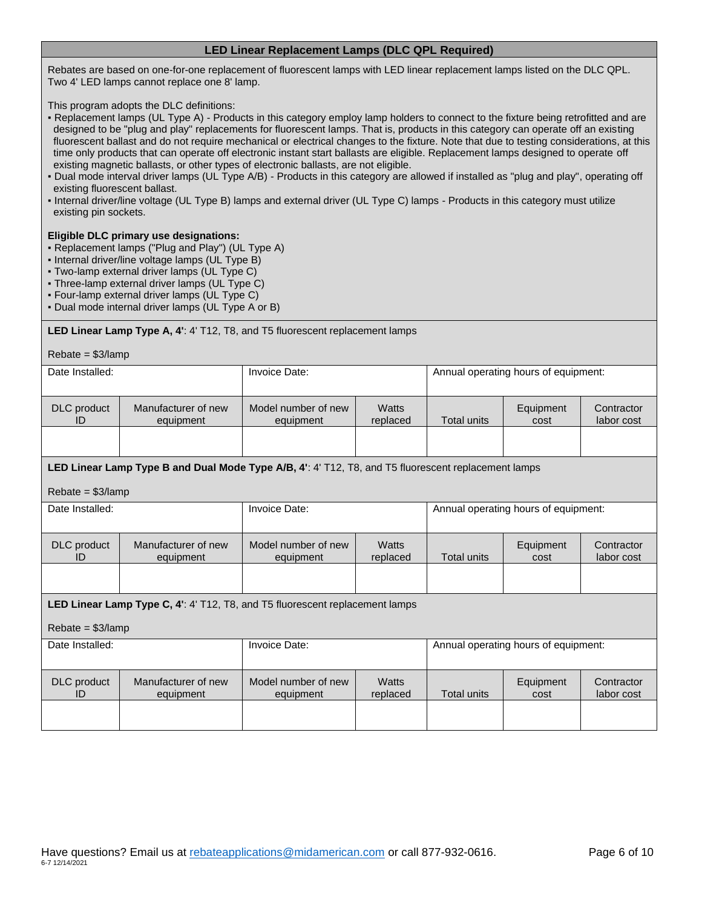## **LED Linear Replacement Lamps (DLC QPL Required)**

Rebates are based on one-for-one replacement of fluorescent lamps with LED linear replacement lamps listed on the DLC QPL. Two 4' LED lamps cannot replace one 8' lamp.

This program adopts the DLC definitions:

- Replacement lamps (UL Type A) Products in this category employ lamp holders to connect to the fixture being retrofitted and are designed to be "plug and play" replacements for fluorescent lamps. That is, products in this category can operate off an existing fluorescent ballast and do not require mechanical or electrical changes to the fixture. Note that due to testing considerations, at this time only products that can operate off electronic instant start ballasts are eligible. Replacement lamps designed to operate off existing magnetic ballasts, or other types of electronic ballasts, are not eligible.
- Dual mode interval driver lamps (UL Type A/B) Products in this category are allowed if installed as "plug and play", operating off existing fluorescent ballast.
- Internal driver/line voltage (UL Type B) lamps and external driver (UL Type C) lamps Products in this category must utilize existing pin sockets.

#### **Eligible DLC primary use designations:**

- Replacement lamps ("Plug and Play") (UL Type A)
- Internal driver/line voltage lamps (UL Type B)
- Two-lamp external driver lamps (UL Type C)
- Three-lamp external driver lamps (UL Type C)
- Four-lamp external driver lamps (UL Type C)
- Dual mode internal driver lamps (UL Type A or B)

**LED Linear Lamp Type A, 4'**: 4' T12, T8, and T5 fluorescent replacement lamps

| $Rebate = $3/lamp$       |                                                                                                     |                                  |                   |                                      |                                      |                          |  |
|--------------------------|-----------------------------------------------------------------------------------------------------|----------------------------------|-------------------|--------------------------------------|--------------------------------------|--------------------------|--|
| Date Installed:          |                                                                                                     | Invoice Date:                    |                   | Annual operating hours of equipment: |                                      |                          |  |
|                          |                                                                                                     |                                  |                   |                                      |                                      |                          |  |
| DLC product<br>ID        | Manufacturer of new<br>equipment                                                                    | Model number of new<br>equipment | Watts<br>replaced | <b>Total units</b>                   | Equipment<br>cost                    | Contractor<br>labor cost |  |
|                          |                                                                                                     |                                  |                   |                                      |                                      |                          |  |
|                          | LED Linear Lamp Type B and Dual Mode Type A/B, 4': 4' T12, T8, and T5 fluorescent replacement lamps |                                  |                   |                                      |                                      |                          |  |
| $Rebate = $3/$ lamp      |                                                                                                     |                                  |                   |                                      |                                      |                          |  |
| Date Installed:          |                                                                                                     | Invoice Date:                    |                   | Annual operating hours of equipment: |                                      |                          |  |
|                          |                                                                                                     |                                  |                   |                                      |                                      |                          |  |
| DLC product<br>ID        | Manufacturer of new<br>equipment                                                                    | Model number of new<br>equipment | Watts<br>replaced | <b>Total units</b>                   | Equipment<br>cost                    | Contractor<br>labor cost |  |
|                          |                                                                                                     |                                  |                   |                                      |                                      |                          |  |
|                          |                                                                                                     |                                  |                   |                                      |                                      |                          |  |
|                          | <b>LED Linear Lamp Type C, 4': 4' T12, T8, and T5 fluorescent replacement lamps</b>                 |                                  |                   |                                      |                                      |                          |  |
| $Rebate = $3/$ lamp      |                                                                                                     |                                  |                   |                                      |                                      |                          |  |
| Date Installed:          |                                                                                                     | Invoice Date:                    |                   |                                      | Annual operating hours of equipment: |                          |  |
|                          |                                                                                                     |                                  |                   |                                      |                                      |                          |  |
| <b>DLC</b> product<br>ID | Manufacturer of new<br>equipment                                                                    | Model number of new<br>equipment | Watts<br>replaced | <b>Total units</b>                   | Equipment<br>cost                    | Contractor<br>labor cost |  |
|                          |                                                                                                     |                                  |                   |                                      |                                      |                          |  |
|                          |                                                                                                     |                                  |                   |                                      |                                      |                          |  |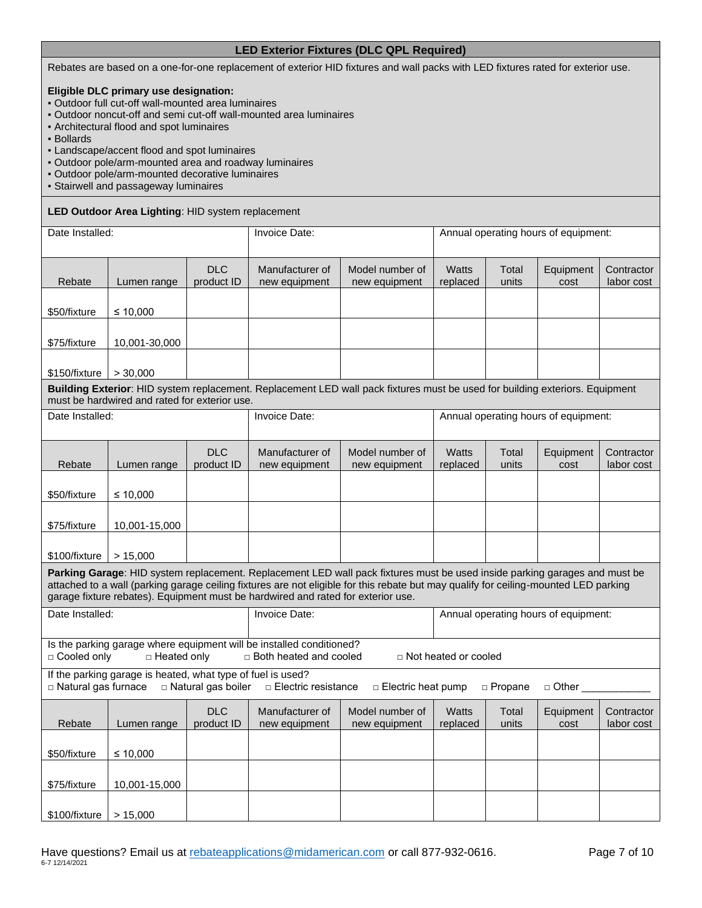## **LED Exterior Fixtures (DLC QPL Required)**

Rebates are based on a one-for-one replacement of exterior HID fixtures and wall packs with LED fixtures rated for exterior use.

#### **Eligible DLC primary use designation:**

- Outdoor full cut-off wall-mounted area luminaires
- Outdoor noncut-off and semi cut-off wall-mounted area luminaires
- Architectural flood and spot luminaires
- Bollards
- Landscape/accent flood and spot luminaires
- Outdoor pole/arm-mounted area and roadway luminaires
- Outdoor pole/arm-mounted decorative luminaires
- Stairwell and passageway luminaires

#### **LED Outdoor Area Lighting**: HID system replacement

| Date Installed:       |                                                             | Invoice Date:            |                                                                                                  |                                                                                                                                                                                                                                                                    | Annual operating hours of equipment: |                |                                      |                          |
|-----------------------|-------------------------------------------------------------|--------------------------|--------------------------------------------------------------------------------------------------|--------------------------------------------------------------------------------------------------------------------------------------------------------------------------------------------------------------------------------------------------------------------|--------------------------------------|----------------|--------------------------------------|--------------------------|
| Rebate                | Lumen range                                                 | <b>DLC</b><br>product ID | Manufacturer of<br>new equipment                                                                 | Model number of<br>new equipment                                                                                                                                                                                                                                   | <b>Watts</b><br>replaced             | Total<br>units | Equipment<br>cost                    | Contractor<br>labor cost |
| \$50/fixture          | ≤ 10,000                                                    |                          |                                                                                                  |                                                                                                                                                                                                                                                                    |                                      |                |                                      |                          |
| \$75/fixture          | 10,001-30,000                                               |                          |                                                                                                  |                                                                                                                                                                                                                                                                    |                                      |                |                                      |                          |
| \$150/fixture         | > 30,000                                                    |                          |                                                                                                  |                                                                                                                                                                                                                                                                    |                                      |                |                                      |                          |
|                       | must be hardwired and rated for exterior use.               |                          |                                                                                                  | Building Exterior: HID system replacement. Replacement LED wall pack fixtures must be used for building exteriors. Equipment                                                                                                                                       |                                      |                |                                      |                          |
| Date Installed:       |                                                             |                          | Invoice Date:                                                                                    |                                                                                                                                                                                                                                                                    |                                      |                | Annual operating hours of equipment: |                          |
| Rebate                | Lumen range                                                 | <b>DLC</b><br>product ID | Manufacturer of<br>new equipment                                                                 | Model number of<br>new equipment                                                                                                                                                                                                                                   | Watts<br>replaced                    | Total<br>units | Equipment<br>cost                    | Contractor<br>labor cost |
| \$50/fixture          | ≤ 10,000                                                    |                          |                                                                                                  |                                                                                                                                                                                                                                                                    |                                      |                |                                      |                          |
| \$75/fixture          | 10,001-15,000                                               |                          |                                                                                                  |                                                                                                                                                                                                                                                                    |                                      |                |                                      |                          |
| \$100/fixture         | > 15,000                                                    |                          |                                                                                                  |                                                                                                                                                                                                                                                                    |                                      |                |                                      |                          |
|                       |                                                             |                          | garage fixture rebates). Equipment must be hardwired and rated for exterior use.                 | Parking Garage: HID system replacement. Replacement LED wall pack fixtures must be used inside parking garages and must be<br>attached to a wall (parking garage ceiling fixtures are not eligible for this rebate but may qualify for ceiling-mounted LED parking |                                      |                |                                      |                          |
| Date Installed:       |                                                             |                          | Invoice Date:                                                                                    |                                                                                                                                                                                                                                                                    |                                      |                | Annual operating hours of equipment: |                          |
| □ Cooled only         | □ Heated only                                               |                          | Is the parking garage where equipment will be installed conditioned?<br>□ Both heated and cooled |                                                                                                                                                                                                                                                                    | $\Box$ Not heated or cooled          |                |                                      |                          |
| □ Natural gas furnace | If the parking garage is heated, what type of fuel is used? | □ Natural gas boiler     | □ Electric resistance                                                                            | $\Box$ Electric heat pump                                                                                                                                                                                                                                          |                                      | □ Propane      | □ Other _                            |                          |
| Rebate                | Lumen range                                                 | <b>DLC</b><br>product ID | Manufacturer of<br>new equipment                                                                 | Model number of<br>new equipment                                                                                                                                                                                                                                   | <b>Watts</b><br>replaced             | Total<br>units | Equipment<br>cost                    | Contractor<br>labor cost |
| \$50/fixture          | ≤ 10,000                                                    |                          |                                                                                                  |                                                                                                                                                                                                                                                                    |                                      |                |                                      |                          |
| \$75/fixture          | 10,001-15,000                                               |                          |                                                                                                  |                                                                                                                                                                                                                                                                    |                                      |                |                                      |                          |
| \$100/fixture         | > 15,000                                                    |                          |                                                                                                  |                                                                                                                                                                                                                                                                    |                                      |                |                                      |                          |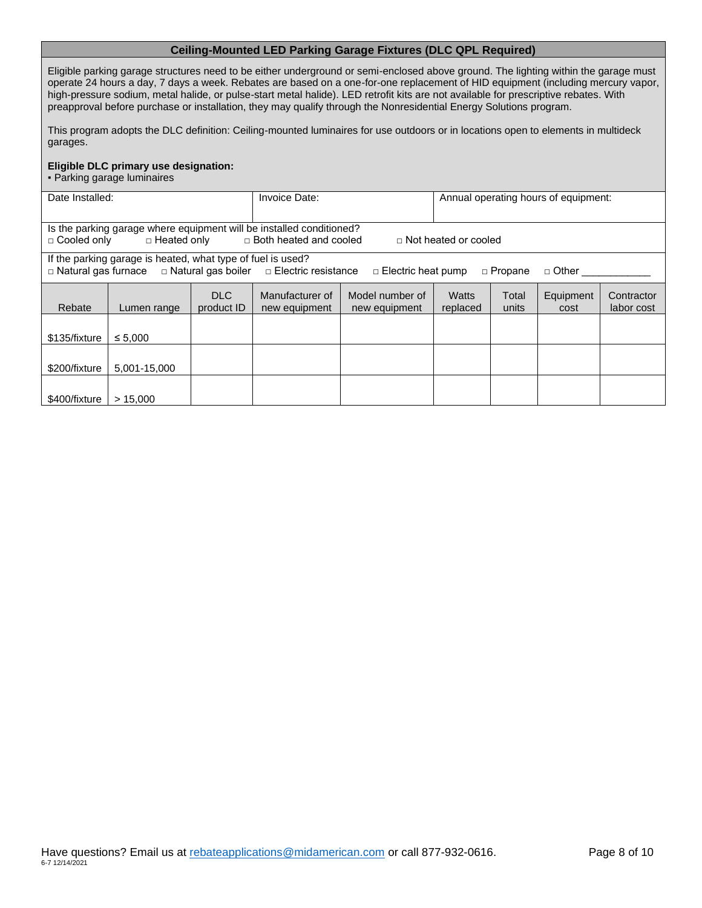## **Ceiling-Mounted LED Parking Garage Fixtures (DLC QPL Required)**

Eligible parking garage structures need to be either underground or semi-enclosed above ground. The lighting within the garage must operate 24 hours a day, 7 days a week. Rebates are based on a one-for-one replacement of HID equipment (including mercury vapor, high-pressure sodium, metal halide, or pulse-start metal halide). LED retrofit kits are not available for prescriptive rebates. With preapproval before purchase or installation, they may qualify through the Nonresidential Energy Solutions program.

This program adopts the DLC definition: Ceiling-mounted luminaires for use outdoors or in locations open to elements in multideck garages.

#### **Eligible DLC primary use designation:**

▪ Parking garage luminaires

| Date Installed:                                                                                                                                                        |                                                                                                                                                                                      |                   | Invoice Date:                    |                                  | Annual operating hours of equipment: |                |                   |                          |
|------------------------------------------------------------------------------------------------------------------------------------------------------------------------|--------------------------------------------------------------------------------------------------------------------------------------------------------------------------------------|-------------------|----------------------------------|----------------------------------|--------------------------------------|----------------|-------------------|--------------------------|
| Is the parking garage where equipment will be installed conditioned?<br>□ Heated only<br>□ Both heated and cooled<br>$\Box$ Cooled only<br>$\Box$ Not heated or cooled |                                                                                                                                                                                      |                   |                                  |                                  |                                      |                |                   |                          |
|                                                                                                                                                                        | If the parking garage is heated, what type of fuel is used?<br>□ Natural gas furnace □ Natural gas boiler □ Electric resistance<br>□ Propane<br>$\Box$ Electric heat pump<br>□ Other |                   |                                  |                                  |                                      |                |                   |                          |
| Rebate                                                                                                                                                                 | Lumen range                                                                                                                                                                          | DLC<br>product ID | Manufacturer of<br>new equipment | Model number of<br>new equipment | Watts<br>replaced                    | Total<br>units | Equipment<br>cost | Contractor<br>labor cost |
| \$135/fixture                                                                                                                                                          | $\leq 5.000$                                                                                                                                                                         |                   |                                  |                                  |                                      |                |                   |                          |
| \$200/fixture                                                                                                                                                          | 5.001-15.000                                                                                                                                                                         |                   |                                  |                                  |                                      |                |                   |                          |
| \$400/fixture                                                                                                                                                          | > 15.000                                                                                                                                                                             |                   |                                  |                                  |                                      |                |                   |                          |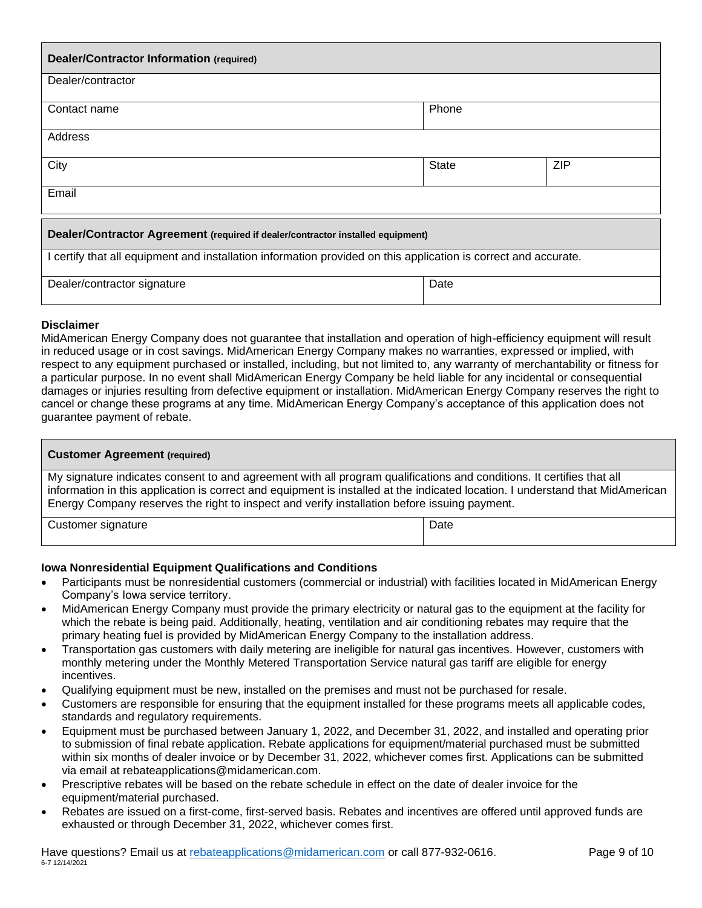| <b>Dealer/Contractor Information (required)</b>                                                                 |              |            |  |
|-----------------------------------------------------------------------------------------------------------------|--------------|------------|--|
| Dealer/contractor                                                                                               |              |            |  |
| Contact name                                                                                                    | Phone        |            |  |
| Address                                                                                                         |              |            |  |
| City                                                                                                            | <b>State</b> | <b>ZIP</b> |  |
| Email                                                                                                           |              |            |  |
| Dealer/Contractor Agreement (required if dealer/contractor installed equipment)                                 |              |            |  |
| I certify that all equipment and installation information provided on this application is correct and accurate. |              |            |  |
| Dealer/contractor signature                                                                                     | Date         |            |  |

## **Disclai mer**

MidAmerican Energy Company does not guarantee that installation and operation of high-efficiency equipment will result in reduced usage or in cost savings. MidAmerican Energy Company makes no warranties, expressed or implied, with respect to any equipment purchased or installed, including, but not limited to, any warranty of merchantability or fitness for a particular purpose. In no event shall MidAmerican Energy Company be held liable for any incidental or consequential damages or injuries resulting from defective equipment or installation. MidAmerican Energy Company reserves the right to cancel or change these programs at any time. MidAmerican Energy Company's acceptance of this application does not guarantee payment of rebate.

| <b>Customer Agreement (required)</b>                                                                                                                                                                                                                                                                                                                    |      |  |
|---------------------------------------------------------------------------------------------------------------------------------------------------------------------------------------------------------------------------------------------------------------------------------------------------------------------------------------------------------|------|--|
| My signature indicates consent to and agreement with all program qualifications and conditions. It certifies that all<br>information in this application is correct and equipment is installed at the indicated location. I understand that MidAmerican<br>Energy Company reserves the right to inspect and verify installation before issuing payment. |      |  |
| Customer signature                                                                                                                                                                                                                                                                                                                                      | Date |  |

## **Iowa Nonresidential Equipment Qualifications and Conditions**

- Participants must be nonresidential customers (commercial or industrial) with facilities located in MidAmerican Energy Company's Iowa service territory.
- MidAmerican Energy Company must provide the primary electricity or natural gas to the equipment at the facility for which the rebate is being paid. Additionally, heating, ventilation and air conditioning rebates may require that the primary heating fuel is provided by MidAmerican Energy Company to the installation address.
- Transportation gas customers with daily metering are ineligible for natural gas incentives. However, customers with monthly metering under the Monthly Metered Transportation Service natural gas tariff are eligible for energy incentives.
- Qualifying equipment must be new, installed on the premises and must not be purchased for resale.
- Customers are responsible for ensuring that the equipment installed for these programs meets all applicable codes, standards and regulatory requirements.
- Equipment must be purchased between January 1, 2022, and December 31, 2022, and installed and operating prior to submission of final rebate application. Rebate applications for equipment/material purchased must be submitted within six months of dealer invoice or by December 31, 2022, whichever comes first. Applications can be submitted via email at rebateapplications@midamerican.com.
- Prescriptive rebates will be based on the rebate schedule in effect on the date of dealer invoice for the equipment/material purchased.
- Rebates are issued on a first-come, first-served basis. Rebates and incentives are offered until approved funds are exhausted or through December 31, 2022, whichever comes first.